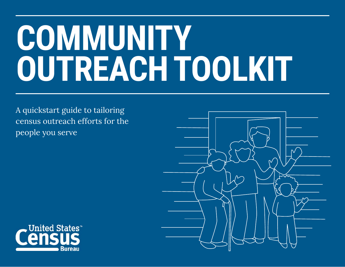# **COMMUNITY OUTREACH TOOLKIT**

A quickstart guide to tailoring census outreach efforts for the people you serve



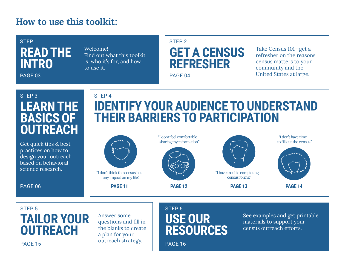### **How to use this toolkit:**

## **READ THE INTRO**STEP 1

PAGE 03

Welcome! Find out what this toolkit is, who it's for, and how to use it.

#### STEP 2



Take Census 101—get a refresher on the reasons census matters to your community and the United States at large.

## **LEARN THE BASICS OF OUTREACH**STEP 3

Get quick tips & best practices on how to design your outreach based on behavioral science research.

PAGE 06

PAGE 15

### **IDENTIFY YOUR AUDIENCE TO UNDERSTAND THEIR BARRIERS TO PARTICIPATION**STEP 4



**PAGE 11**



"I don't feel comfortable

"I have trouble completing census forms."

**PAGE 12 PAGE 13 PAGE 14**

"I don't have time to fill out the census."



### **TAILOR YOUR OUTREACH**STEP<sub>5</sub>

Answer some questions and fill in the blanks to create a plan for your outreach strategy.

### **USE OUR RESOURCES**STEP 6

See examples and get printable materials to support your census outreach efforts.

PAGE 16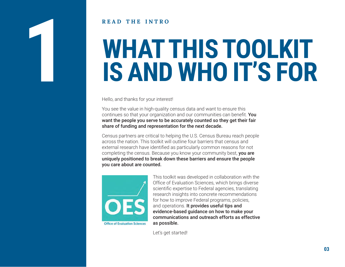#### **READ THE INTRO**

# **WHAT THIS TOOLKIT IS AND WHO IT'S FOR**

Hello, and thanks for your interest!

You see the value in high-quality census data and want to ensure this continues so that your organization and our communities can benefit. You want the people you serve to be accurately counted so they get their fair share of funding and representation for the next decade.

Census partners are critical to helping the U.S. Census Bureau reach people across the nation. This toolkit will outline four barriers that census and external research have identified as particularly common reasons for not completing the census. Because you know your community best, you are uniquely positioned to break down these barriers and ensure the people you care about are counted.



This toolkit was developed in collaboration with the Office of Evaluation Sciences, which brings diverse scientific expertise to Federal agencies, translating research insights into concrete recommendations for how to improve Federal programs, policies, and operations. It provides useful tips and evidence-based guidance on how to make your communications and outreach efforts as effective as possible.

Let's get started!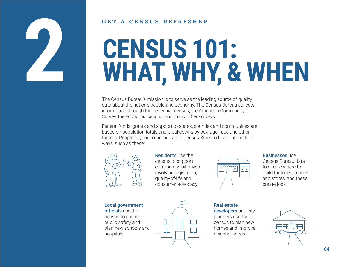

#### **GETA CENSUS REFRESHER**

## **CENSUS 101: WHAT, WHY, & WHEN**

The Census Bureau's mission is to serve as the leading source of quality data about the nation's people and economy. The Census Bureau collects information through the decennial census, the American Community Survey, the economic census, and many other surveys.

Federal funds, grants and support to states, counties and communities are based on population totals and breakdowns by sex, age, race and other factors. People in your community use Census Bureau data in all kinds of ways, such as these:



Residents use the census to support community initiatives involving legislation, quality-of-life and consumer advocacy.



**Businesses use** Census Bureau data to decide where to

build factories, offices and stores, and these create jobs.

Local government officials use the census to ensure public safety and plan new schools and hospitals.



Real estate developers and city planners use the census to plan new homes and improve neighborhoods.

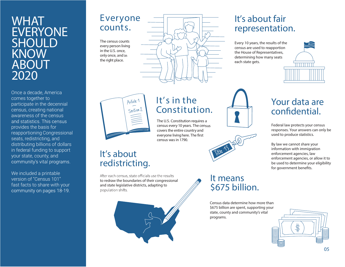### **WHAT EVERYONE SHOULDKNOWABOUT2020**

Once a decade, America comes together to participate in the decennial census, creating national awareness of the census and statistics. This census provides the basis for reapportioning Congressional seats, redistricting, and distributing billions of dollars in federal funding to support your state, count y, and community's vital programs.

We included a printable version of "Census 101" fast facts to share with your community on pages 18-19.

#### Everyone counts.

The census counts every person living in the U.S. once, only once, and in the right place.



### It's about fair rep resen tation.

Every 10 years, the results of the census are used to reapportion the House of Representatives, determining how many seats each state gets.





#### It's intheConstitution.

The U.S. Constitution requires <sup>a</sup> census every 10 years. The census covers the entire country and everyone living here. The first census was in 1790.

#### It's about redistricting.

After each census, state officials use the results to redraw the boundaries of their congressional and state legislative districts, adapting to population shifts.





#### It means \$675 billion.

Census data determine how more than \$675 billion are spent, supporting your state, county and community's vital programs.

## Your data are confidential.

Federal law protects your census responses. Your answers can only be used to produce statistics.

By law we cannot share your information with immigration enforcement agencies, law enforcement agencies, or allow it to be used to determine your eligibility for government benefits.

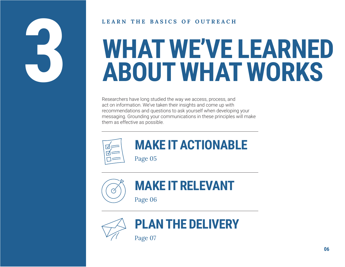

#### LEARN THE BASICS OF OUTREACH

## **WHAT WE'VE LEARNED ABOUT WHAT WORKS**

Researchers have long studied the way we access, process, and act on information. We've taken their insights and come up with recommendations and questions to ask yourself when developing your messaging. Grounding your communications in these principles will make them as effective as possible.



## **MAKE IT ACTIONABLE**

Page 05



## **MAKE IT RELEVANT**

Page 06



## **PLAN THE DELIVERY**

Page 07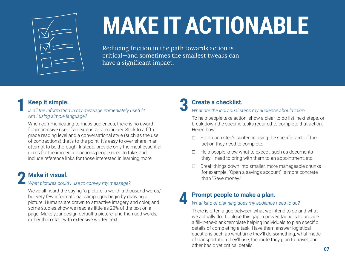

## **MAKE IT ACTIONABLE**

Reducing friction in the path towards action is critical-and sometimes the smallest tweaks can have a significant impact.

#### Keep it simple.

#### Is all the information in my message immediately useful? Am I using simple language?

When communicating to mass audiences, there is no award for impressive use of an extensive vocabulary. Stick to a fifth grade reading level and a conversational style (such as the use of contractions) that's to the point. It's easy to over-share in an attempt to be thorough. Instead, provide only the most essential items for the immediate actions people need to take, and include reference links for those interested in learning more.

#### **Make it visual.**

#### What pictures could I use to convey my message?

We've all heard the saying "a picture is worth a thousand words," but very few informational campaigns begin by drawing a picture. Humans are drawn to attractive imagery and color, and some studies show we read as little as 20% of the text on a page. Make your design default a picture, and then add words, rather than start with extensive written text

#### **Create a checklist.**

#### What are the individual steps my audience should take?

To help people take action, show a clear to-do list, next steps, or break down the specific tasks required to complete that action. Here's how:

- Start each step's sentence using the specific verb of the action they need to complete.
- Help people know what to expect, such as documents they'll need to bring with them to an appointment, etc.
- Break things down into smaller, more manageable chunks- $\Box$ for example, "Open a savings account" is more concrete than "Save money."

#### Prompt people to make a plan.

#### What kind of planning does my audience need to do?

There is often a gap between what we intend to do and what we actually do. To close this gap, a proven tactic is to provide a fill-in-the-blank template helping individuals to plan specific details of completing a task. Have them answer logistical questions such as what time they'll do something, what mode of transportation they'll use, the route they plan to travel, and other basic vet critical details.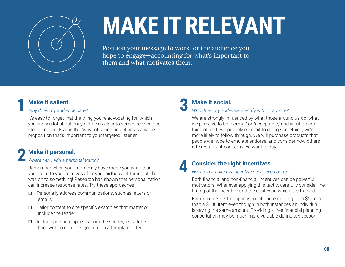

## **MAKE IT RELEVANT**

Position your message to work for the audience you hope to engage—accounting for what's important to them and what motivates them.

**4**

#### **Make it salient.1**

#### *Why does my audience care?*

It's easy to forget that the thing you're advocating for, which you know a lot about, may not be as clear to someone even one step removed. Frame the "why" of taking an action as a value proposition that's important to your targeted listener.

#### **Make it personal.**

## *Where can I add a personal touch?*  **2**

Remember when your mom may have made you write thank you notes to your relatives after your birthday? It turns out she was on to something! Research has shown that personalization can increase response rates. Try these approaches:

- $\Box$  Personally address communications, such as letters or emails
- $\Box$  Tailor content to cite specific examples that matter or include the reader
- $\Box$  Include personal appeals from the sender, like a little handwritten note or signature on a template letter

#### **Make it social.3**

#### *Who does my audience identify with or admire?*

We are strongly influenced by what those around us do, what we perceive to be "normal" or "acceptable," and what others think of us. If we publicly commit to doing something, we're more likely to follow through. We will purchase products that people we hope to emulate endorse, and consider how others rate restaurants or items we want to buy.

### **Consider the right incentives.**

#### *How can I make my incentive seem even better?*

Both financial and non-financial incentives can be powerful motivators. Whenever applying this tactic, carefully consider the timing of the incentive and the context in which it is framed.

For example, a \$1 coupon is much more exciting for a \$5 item than a \$100 item even though in both instances an individual is saving the same amount. Providing a free financial planning consultation may be much more valuable during tax season.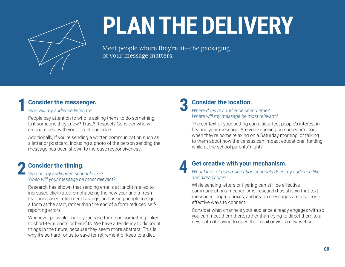

## **PLAN THE DELIVERY**

Meet people where they're at—the packaging of your message matters.

**3**

**4**

#### **Consider the messenger.**

#### *Who will my audience listen to?*

**1**

People pay attention to who is asking them to do something. Is it someone they know? Trust? Respect? Consider who will resonate best with your target audience.

Additionally, if you're sending a written communication such as a letter or postcard, Including a photo of the person sending the message has been shown to increase responsiveness.

#### **Consider the timing.** *What is my audience's schedule like?*  **2**

*When will your message be most relevant?* 

Research has shown that sending emails at lunchtime led to increased click rates, emphasizing the new year and a fresh start increased retirement savings, and asking people to sign a form at the start, rather than the end of a form reduced selfreporting errors.

Whenever possible, make your case for doing something linked to short-term costs or benefits. We have a tendency to discount things in the future, because they seem more abstract. This is why it's so hard for us to save for retirement or keep to a diet.

#### **Consider the location.**

#### *Where does my audience spend time? Where will my message be most relevant?*

The context of your setting can also affect people's interest in hearing your message. Are you knocking on someone's door when they're home relaxing on a Saturday morning, or talking to them about how the census can impact educational funding while at the school parents' night?

#### **Get creative with your mechanism.**

*What kinds of communication channels does my audience like and already use?* 

While sending letters or flyering can still be effective communications mechanisms, research has shown that text messages, pop-up boxes, and in-app messages are also costeffective ways to connect.

Consider what channels your audience already engages with so you can meet them there, rather than trying to direct them to a new path of having to open their mail or visit a new website.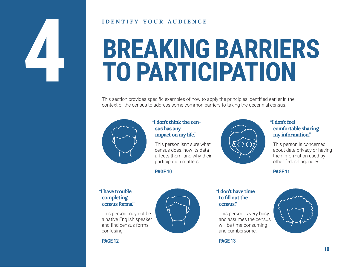#### **IDENTIFY YOUR AUDIENCE**

## **BREAKING BARRIERS TO PARTICIPATION**

This section provides specific examples of how to apply the principles identified earlier in the context of the census to address some common barriers to taking the decennial census.



#### "I don't think the census has any impact on my life."

This person isn't sure what census does, how its data affects them, and why their participation matters.

**PAGE 10** 



#### "I don't feel comfortable sharing my information."

This person is concerned about data privacy or having their information used by other federal agencies.

#### **PAGE 11**

#### "I have trouble completing census forms."

This person may not be a native English speaker and find census forms confusing.



#### "I don't have time to fill out the census"

This person is very busy and assumes the census will be time-consuming and cumbersome.

**PAGE 13** 



**PAGE 12**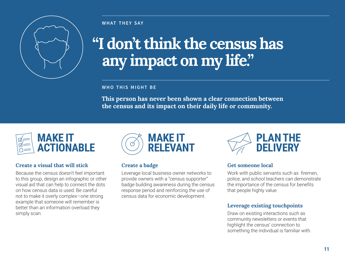

## **"I don't think the census has any impact on my life."**

#### **WHO THIS MIGHT B E**

**This person has never been shown a clear connection between the census and its impact on their daily life or community.** 



#### **Create a visual that will stick**

Because the census doesn't feel important to this group, design an infographic or other visual aid that can help to connect the dots on how census data is used. Be careful not to make it overly complex-one strong example that someone will remember is better than an information overload they simply scan.



#### **Create a badge**

Leverage local business owner networks to provide owners with a "census supporter" badge building awareness during the census response period and reinforcing the use of census data for economic development.



#### **Get someone local**

Work with public servants such as firemen. police, and school teachers can demonstrate the importance of the census for benefits that people highly value.

#### **Leverage existing touchpoints**

Draw on existing interactions such as community newsletters or events that highlight the census' connection to something the individual is familiar with.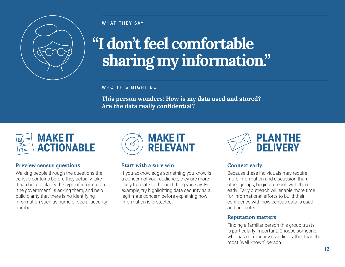

## **"I don't feel comfortable sharing my information."**

**WHO THIS MIGHT B E**

**This person wonders: How is my data used and stored?**   $\boldsymbol{\lambda}$ re the data really confidential?



#### **Preview census questions**

Walking people through the questions the census contains before they actually take it can help to clarify the type of information "the government" is asking them, and help build clarity that there is no identifying information such as name or social security number



#### **Start with a sure win**

If you acknowledge something you know is a concern of your audience, they are more likely to relate to the next thing you say. For example, try highlighting data security as a legitimate concern before explaining how information is protected.



#### **Connect early**

Because these individuals may require more information and discussion than other groups, begin outreach with them early. Early outreach will enable more time for informational efforts to build their confidence with how census data is used and protected.

#### **Reputation matters**

Finding a familiar person this group trusts is particularly important. Choose someone who has community standing rather than the most "well known" person.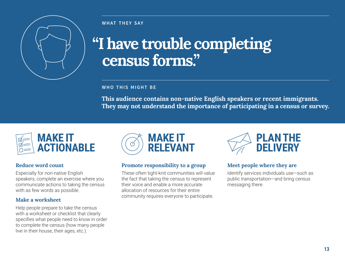

## **"I have trouble completing census forms."**

#### **WHO THIS MIGHT B E**

**This audience contains non-native English speakers or recent immigrants. They may not understand the importance of participating in a census or survey.**



#### **Reduce word count**

Especially for non-native English speakers, complete an exercise where you communicate actions to taking the census with as few words as possible.

#### **Make a worksheet**

Help people prepare to take the census with a worksheet or checklist that clearly specifies what people need to know in order to complete the census (how many people live in their house, their ages, etc.).



#### **Promote responsibility to a group**

These often tight-knit communities will value the fact that taking the census to represent their voice and enable a more accurate allocation of resources for their entire community requires everyone to participate.



#### **Meet people where they are**

Identify services individuals use-such as public transportation-and bring census messaging there.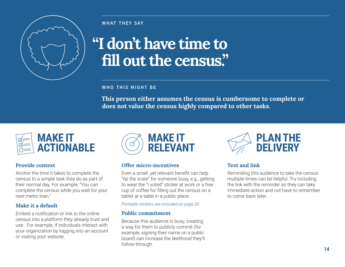

## "I don't have time to fill out the census."

**WHO THIS MIGHT BE** 

This person either assumes the census is cumbersome to complete or does not value the census highly compared to other tasks.



#### **Provide context**

Anchor the time it takes to complete the census to a simple task they do as part of their normal day. For example, "You can complete the census while you wait for your next metro train"

#### Make it a default

Embed a notification or link to the online census into a platform they already trust and use. For example, if individuals interact with your organization by logging into an account or visiting your website.



#### Offer micro-incentives

Even a small, yet relevant benefit can help "tip the scale" for someone busy, e.g., getting to wear the "I voted" sticker at work or a free cup of coffee for filling out the census on a tablet at a table in a public place.

Printable stickers are included on page 20.

#### **Public commitment**

Because this audience is busy, creating a way for them to publicly commit (for example, signing their name on a public board) can increase the likelihood they'll follow-through.



#### **Text and link**

Reminding this audience to take the census multiple times can be helpful. Try including the link with the reminder so they can take immediate action and not have to remember to come back later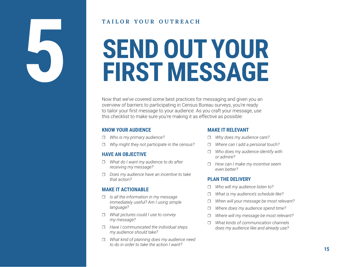#### **TAILOR YOUR OUTREACH**

## **SEND OUT YOUR FIRST MESSAGE**

Now that we've covered some best practices for messaging and given you an overview of barriers to participating in Census Bureau surveys, you're ready to tailor your first message to your audience. As you craft your message, use this checklist to make sure you're making it as effective as possible:

#### **KNOW YOUR AUDIENCE**

**5**

- ۿ *Who is my primary audience?*
- ۿ *Why might they not participate in the census?*

#### **HAVE AN OBJECTIVE**

- ۿ *What do I want my audience to do after receiving my message?*
- ۿ *Does my audience have an incentive to take that action?*

#### **MAKE IT ACTIONABLE**

- ۿ *Is all the information in my message immediately useful? Am I using simple language?*
- ۿ *What pictures could I use to convey my message?*
- ۿ *Have I communicated the individual steps my audience should take?*
- ۿ *What kind of planning does my audience need to do in order to take the action I want?*

#### **MAKE IT RELEVANT**

- $\Box$ *Why does my audience care?*
- ۿ *Where can I add a personal touch?*
- $\Box$  *Who does my audience identify with or admire?*
- ۿ *How can I make my incentive seem even better?*

#### **PLAN THE DELIVERY**

- $\Box$ *Who will my audience listen to?*
- $\Box$ *What is my audience's schedule like?*
- $\Box$ *When will your message be most relevant?*
- $\Box$ *Where does my audience spend time?*
- $\Box$ *Where will my message be most relevant?*
- $\Box$  *What kinds of communication channels does my audience like and already use?*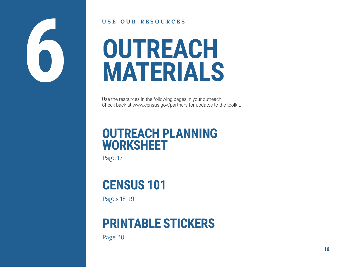

#### **USE OUR RESOURCES**

## **OUTREACH MATERIALS**

Use the resources in the following pages in your outreach! Check back at www.census.gov/partners for updates to the toolkit.

## **OUTREACH PLANNING WORKSHEET**

Page 17

## **CENSUS 101**

Pages 18-19

## **PRINTABLE STICKERS**

Page 20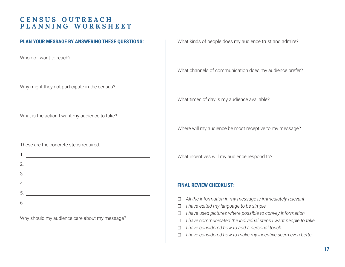#### **CENSUS OUTREACHPLANNING WORKSHEET**

#### **PLAN YOUR MESSAGE BY ANSWERING THESE QUESTIONS:**

Who do I want to reach?

Why might they not participate in the census?

What is the action I want my audience to take?

These are the concrete steps required:

| 2. |                                                                                                                                                                                                                                      |
|----|--------------------------------------------------------------------------------------------------------------------------------------------------------------------------------------------------------------------------------------|
|    |                                                                                                                                                                                                                                      |
|    | <u>. In the contract of the contract of the contract of the contract of the contract of the contract of the contract of the contract of the contract of the contract of the contract of the contract of the contract of the cont</u> |
|    | 5.                                                                                                                                                                                                                                   |
|    |                                                                                                                                                                                                                                      |

Why should my audience care about my message?

What kinds of people does my audience trust and admire?

What channels of communication does my audience prefer?

What times of day is my audience available?

Where will my audience be most receptive to my message?

What incentives will my audience respond to?

#### **FINAL REVIEW CHECKLIST:**

- ۿ *All the information in my message is immediately relevant*
- $\Box$ *I have edited my language to be simple*
- ۿ *I have used pictures where possible to convey information*
- ۿ *I have communicated the individual steps I want people to take.*
- ۿ *I have considered how to add a personal touch.*
- ۿ *I have considered how to make my incentive seem even better.*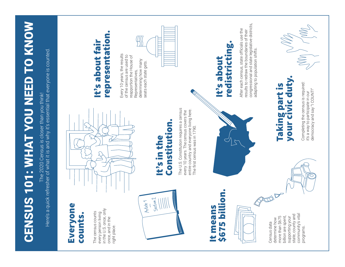| <b>US 101: WHAT YOU NEED TO KNOW</b>                                                                                       | congressional and state legislative districts,<br>Today ( VIND<br>After each census, state officials use the<br>results to redraw the boundaries of their<br>representation.<br> <br> <br> <br>redistricting.<br>It's about fai<br>adapting to population shifts.<br>Every 10 years, the results<br>of the census are used to<br>reapportion the House of<br>It's about<br>determining how many<br>seats each state gets<br>Representatives, |
|----------------------------------------------------------------------------------------------------------------------------|----------------------------------------------------------------------------------------------------------------------------------------------------------------------------------------------------------------------------------------------------------------------------------------------------------------------------------------------------------------------------------------------------------------------------------------------|
| quick refresher of what it is and why it's essential that everyone is counted<br>The 2020 Census is closer than you think! | Taking part is<br>your civic duty.<br>Completing the census is required:<br>it's a way to participate in our<br>democracy and say "I COUNT!"<br>The U.S. Constitution requires a census<br>entire country and everyone living here.<br>every 10 years. The census covers the<br>Constitution.<br>The first census was in 1790.<br>It's in the                                                                                                |
| Here's a<br>CENS                                                                                                           | llion.<br>$\sqrt{2}$<br>Section 2<br>Article 1<br>$\overline{\mathbf{v}}$<br>$\overline{\mathbf{v}}$<br>in the U.S. once, only<br><u>uoMjan5</u><br>The census counts<br>t mean<br><u>io</u><br>every person living<br>counts.<br>community's vital<br>state, county and<br>billion are spent,<br>more than \$675<br>supporting your<br>once, and in the<br>determine how<br>5675<br>Census data<br>right place.<br>programs.                |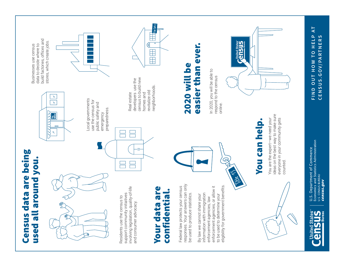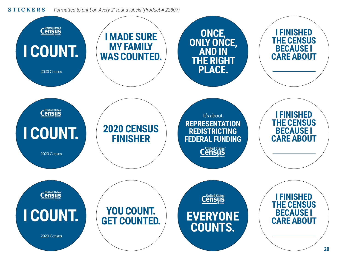#### **STICKERS***Formatted to print on Avery 2" round labels (Product # 22807).*